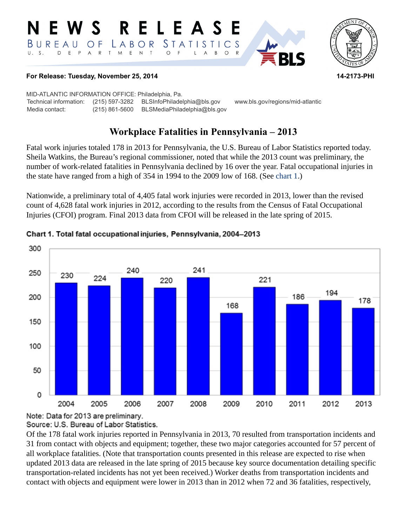#### RELEASE E W S *STATISTICS* LABOR BUREAU  $\overline{O}$  F D E P A R T M E N T  $U. S.$  $\bigcirc$  $\overline{F}$  $B$  $\circ$  $\mathsf{R}$ L  $\overline{\mathsf{A}}$



### **For Release: Tuesday, November 25, 2014 14-2173-PHI**

MID-ATLANTIC INFORMATION OFFICE: Philadelphia, Pa. Technical information: (215) 597-3282 BLSInfoPhiladelphia@bls.gov www.bls.gov/regions/mid-atlantic Media contact: (215) 861-5600 BLSMediaPhiladelphia@bls.gov

# **Workplace Fatalities in Pennsylvania – 2013**

Fatal work injuries totaled 178 in 2013 for Pennsylvania, the U.S. Bureau of Labor Statistics reported today. Sheila Watkins, the Bureau's regional commissioner, noted that while the 2013 count was preliminary, the number of work-related fatalities in Pennsylvania declined by 16 over the year. Fatal occupational injuries in the state have ranged from a high of 354 in 1994 to the 2009 low of 168. (See [chart 1](#page-0-0).)

Nationwide, a preliminary total of 4,405 fatal work injuries were recorded in 2013, lower than the revised count of 4,628 fatal work injuries in 2012, according to the results from the Census of Fatal Occupational Injuries (CFOI) program. Final 2013 data from CFOI will be released in the late spring of 2015.



## <span id="page-0-0"></span>Chart 1. Total fatal occupational injuries, Pennsylvania, 2004-2013

Note: Data for 2013 are preliminary.

Source: U.S. Bureau of Labor Statistics.

Of the 178 fatal work injuries reported in Pennsylvania in 2013, 70 resulted from transportation incidents and 31 from contact with objects and equipment; together, these two major categories accounted for 57 percent of all workplace fatalities. (Note that transportation counts presented in this release are expected to rise when updated 2013 data are released in the late spring of 2015 because key source documentation detailing specific transportation-related incidents has not yet been received.) Worker deaths from transportation incidents and contact with objects and equipment were lower in 2013 than in 2012 when 72 and 36 fatalities, respectively,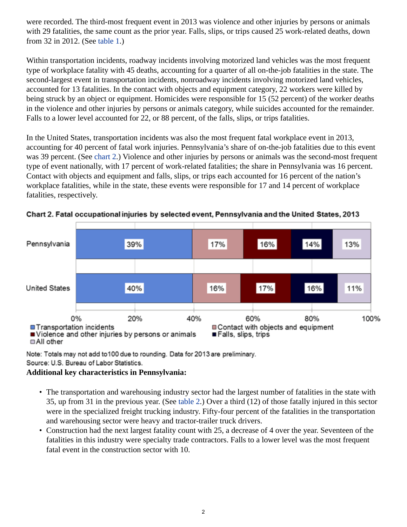were recorded. The third-most frequent event in 2013 was violence and other injuries by persons or animals with 29 fatalities, the same count as the prior year. Falls, slips, or trips caused 25 work-related deaths, down from 32 in 2012. (See [table 1.](#page-4-0))

Within transportation incidents, roadway incidents involving motorized land vehicles was the most frequent type of workplace fatality with 45 deaths, accounting for a quarter of all on-the-job fatalities in the state. The second-largest event in transportation incidents, nonroadway incidents involving motorized land vehicles, accounted for 13 fatalities. In the contact with objects and equipment category, 22 workers were killed by being struck by an object or equipment. Homicides were responsible for 15 (52 percent) of the worker deaths in the violence and other injuries by persons or animals category, while suicides accounted for the remainder. Falls to a lower level accounted for 22, or 88 percent, of the falls, slips, or trips fatalities.

In the United States, transportation incidents was also the most frequent fatal workplace event in 2013, accounting for 40 percent of fatal work injuries. Pennsylvania's share of on-the-job fatalities due to this event was 39 percent. (See [chart 2.](#page-1-0)) Violence and other injuries by persons or animals was the second-most frequent type of event nationally, with 17 percent of work-related fatalities; the share in Pennsylvania was 16 percent. Contact with objects and equipment and falls, slips, or trips each accounted for 16 percent of the nation's workplace fatalities, while in the state, these events were responsible for 17 and 14 percent of workplace fatalities, respectively.



<span id="page-1-0"></span>Chart 2. Fatal occupational injuries by selected event, Pennsylvania and the United States, 2013

Note: Totals may not add to 100 due to rounding. Data for 2013 are preliminary. Source: U.S. Bureau of Labor Statistics.

## **Additional key characteristics in Pennsylvania:**

- The transportation and warehousing industry sector had the largest number of fatalities in the state with 35, up from 31 in the previous year. (See [table 2.](#page-5-0)) Over a third (12) of those fatally injured in this sector were in the specialized freight trucking industry. Fifty-four percent of the fatalities in the transportation and warehousing sector were heavy and tractor-trailer truck drivers.
- Construction had the next largest fatality count with 25, a decrease of 4 over the year. Seventeen of the fatalities in this industry were specialty trade contractors. Falls to a lower level was the most frequent fatal event in the construction sector with 10.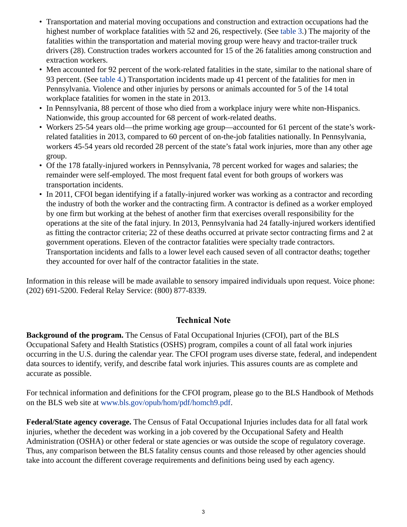- Transportation and material moving occupations and construction and extraction occupations had the highest number of workplace fatalities with 52 and 26, respectively. (See [table 3](#page-7-0).) The majority of the fatalities within the transportation and material moving group were heavy and tractor-trailer truck drivers (28). Construction trades workers accounted for 15 of the 26 fatalities among construction and extraction workers.
- Men accounted for 92 percent of the work-related fatalities in the state, similar to the national share of 93 percent. (See [table 4.](#page-8-0)) Transportation incidents made up 41 percent of the fatalities for men in Pennsylvania. Violence and other injuries by persons or animals accounted for 5 of the 14 total workplace fatalities for women in the state in 2013.
- In Pennsylvania, 88 percent of those who died from a workplace injury were white non-Hispanics. Nationwide, this group accounted for 68 percent of work-related deaths.
- Workers 25-54 years old—the prime working age group—accounted for 61 percent of the state's workrelated fatalities in 2013, compared to 60 percent of on-the-job fatalities nationally. In Pennsylvania, workers 45-54 years old recorded 28 percent of the state's fatal work injuries, more than any other age group.
- Of the 178 fatally-injured workers in Pennsylvania, 78 percent worked for wages and salaries; the remainder were self-employed. The most frequent fatal event for both groups of workers was transportation incidents.
- In 2011, CFOI began identifying if a fatally-injured worker was working as a contractor and recording the industry of both the worker and the contracting firm. A contractor is defined as a worker employed by one firm but working at the behest of another firm that exercises overall responsibility for the operations at the site of the fatal injury. In 2013, Pennsylvania had 24 fatally-injured workers identified as fitting the contractor criteria; 22 of these deaths occurred at private sector contracting firms and 2 at government operations. Eleven of the contractor fatalities were specialty trade contractors. Transportation incidents and falls to a lower level each caused seven of all contractor deaths; together they accounted for over half of the contractor fatalities in the state.

Information in this release will be made available to sensory impaired individuals upon request. Voice phone: (202) 691-5200. Federal Relay Service: (800) 877-8339.

## **Technical Note**

**Background of the program.** The Census of Fatal Occupational Injuries (CFOI), part of the BLS Occupational Safety and Health Statistics (OSHS) program, compiles a count of all fatal work injuries occurring in the U.S. during the calendar year. The CFOI program uses diverse state, federal, and independent data sources to identify, verify, and describe fatal work injuries. This assures counts are as complete and accurate as possible.

For technical information and definitions for the CFOI program, please go to the BLS Handbook of Methods on the BLS web site at [www.bls.gov/opub/hom/pdf/homch9.pdf](http://www.bls.gov/opub/hom/pdf/homch9.pdf).

**Federal/State agency coverage.** The Census of Fatal Occupational Injuries includes data for all fatal work injuries, whether the decedent was working in a job covered by the Occupational Safety and Health Administration (OSHA) or other federal or state agencies or was outside the scope of regulatory coverage. Thus, any comparison between the BLS fatality census counts and those released by other agencies should take into account the different coverage requirements and definitions being used by each agency.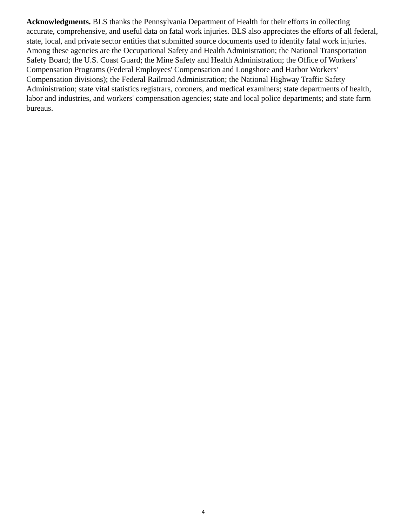**Acknowledgments.** BLS thanks the Pennsylvania Department of Health for their efforts in collecting accurate, comprehensive, and useful data on fatal work injuries. BLS also appreciates the efforts of all federal, state, local, and private sector entities that submitted source documents used to identify fatal work injuries. Among these agencies are the Occupational Safety and Health Administration; the National Transportation Safety Board; the U.S. Coast Guard; the Mine Safety and Health Administration; the Office of Workers' Compensation Programs (Federal Employees' Compensation and Longshore and Harbor Workers' Compensation divisions); the Federal Railroad Administration; the National Highway Traffic Safety Administration; state vital statistics registrars, coroners, and medical examiners; state departments of health, labor and industries, and workers' compensation agencies; state and local police departments; and state farm bureaus.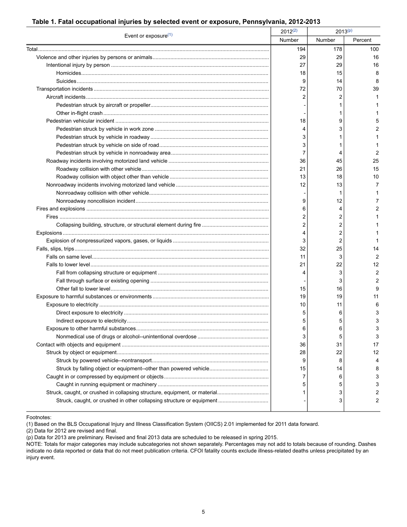#### <span id="page-4-0"></span> **Table 1. Fatal occupational injuries by selected event or exposure, Pennsylvania, 2012-2013**

|                                                                            | $2012^{(2)}$ | $2013^{(p)}$  |         |
|----------------------------------------------------------------------------|--------------|---------------|---------|
| Event or exposure(1)                                                       | Number       | <b>Number</b> | Percent |
|                                                                            | 194          | 178           | 100     |
|                                                                            | 29           | 29            | 16      |
|                                                                            | 27           | 29            | 16      |
|                                                                            | 18           | 15            | 8       |
|                                                                            | 9            | 14            | 8       |
|                                                                            | 72           | 70            | 39      |
|                                                                            | 2            | 2             |         |
|                                                                            |              | 1             |         |
|                                                                            |              | 1             |         |
|                                                                            | 18           | 9             | 5       |
|                                                                            |              | 3             | 2       |
|                                                                            | 3            | 1             |         |
|                                                                            | 3            | 1             |         |
|                                                                            | 7            | 4             | 2       |
|                                                                            | 36           | 45            | 25      |
|                                                                            | 21           | 26            | 15      |
|                                                                            | 13           | 18            | 10      |
|                                                                            | 12           | 13            | 7       |
|                                                                            |              | 1             | 1       |
|                                                                            | 9            | 12            | 7       |
|                                                                            | 6            | 4             | 2       |
|                                                                            | 2            | 2             |         |
|                                                                            | 2            | 2             |         |
|                                                                            | 4            | 2             |         |
|                                                                            | 3            | 2             |         |
|                                                                            | 32           | 25            | 14      |
|                                                                            | 11           | 3             | 2       |
|                                                                            | 21           | 22            | 12      |
|                                                                            | 4            | 3             | 2       |
|                                                                            |              | 3             | 2       |
|                                                                            | 15           | 16            | 9       |
|                                                                            | 19           | 19            | 11      |
|                                                                            | 10           | 11            | 6       |
|                                                                            | 5            | 6             | 3       |
|                                                                            | 5            | 5             | 3       |
|                                                                            | 6            | 6             | 3       |
|                                                                            | 3            | 5             | 3       |
|                                                                            | 36           | 31            | 17      |
|                                                                            | 28           | 22            | 12      |
|                                                                            | 9            | 8             | 4       |
|                                                                            | 15           | 14            | 8       |
|                                                                            | 7            | 6             | 3       |
|                                                                            | 5            | 5             | 3       |
| Struck, caught, or crushed in collapsing structure, equipment, or material | 1            | 3             | 2       |
|                                                                            |              | 3             | 2       |

<span id="page-4-1"></span>Footnotes:

(1) Based on the BLS Occupational Injury and Illness Classification System (OIICS) 2.01 implemented for 2011 data forward.

(2) Data for 2012 are revised and final.

<sup>(</sup>p) Data for 2013 are preliminary. Revised and final 2013 data are scheduled to be released in spring 2015.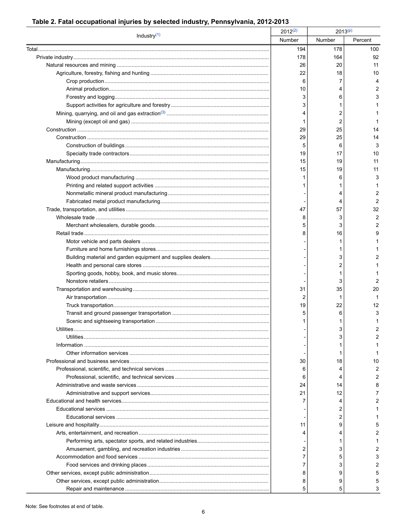## <span id="page-5-0"></span>Table 2. Fatal occupational injuries by selected industry, Pennsylvania, 2012-2013

| Industry <sup>(1)</sup> | $2012^{(2)}$ | $2013^{(p)}$ |         |
|-------------------------|--------------|--------------|---------|
|                         | Number       | Number       | Percent |
|                         | 194          | 178          | 100     |
|                         | 178          | 164          | 92      |
|                         | 26           | 20           | 11      |
|                         | 22           | 18           | 10      |
|                         | 6            | 7            |         |
|                         | 10           | 4            |         |
|                         | 3            | 6            |         |
|                         | 3            | 1            |         |
|                         | 4            | 2            |         |
|                         |              | 2            |         |
|                         | 29           | 25           | 14      |
|                         | 29           | 25           | 14      |
|                         | 5            | 6            | 3       |
|                         | 19           | 17           | 10      |
|                         | 15           | 19           | 11      |
|                         | 15           | 19           | 11      |
|                         |              | 6            | 3       |
|                         |              |              |         |
|                         |              | 4            | 2       |
|                         |              | 4            | 2       |
|                         | 47           | 57           | 32      |
|                         | 8            | 3            | 2       |
|                         | 5            | 3            | 2       |
|                         | 8            | 16           |         |
|                         |              | 1            |         |
|                         |              | 1            |         |
|                         |              | 3            |         |
|                         |              | 2            |         |
|                         |              | 1            |         |
|                         |              | 3            |         |
|                         | 31           | 35           | 20      |
|                         | 2            | 1            |         |
|                         | 19           | 22           | 12      |
|                         | 5            | 6            | 3       |
|                         |              | 1            |         |
|                         |              | 3            | 2       |
|                         |              | 3            |         |
|                         |              |              |         |
|                         |              | 1            |         |
|                         | 30           | 18           | 10      |
|                         | 6            | 4            | 2       |
|                         |              |              |         |
|                         | 6            | 4            |         |
|                         | 24           | 14           |         |
|                         | 21           | 12           |         |
|                         |              | 4            |         |
|                         |              | 2            |         |
|                         |              | 2            |         |
|                         | 11           | 9            |         |
|                         |              | 4            |         |
|                         |              | 1            |         |
|                         | 2            | 3            |         |
|                         |              | 5            |         |
|                         |              | 3            |         |
|                         | 8            | 9            |         |
|                         | 8            | 9            |         |
|                         |              | 5            |         |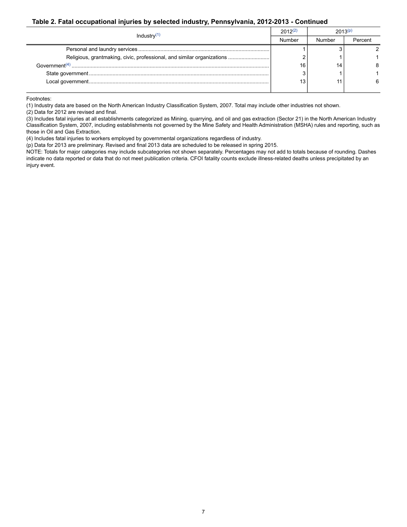#### **Table 2. Fatal occupational injuries by selected industry, Pennsylvania, 2012-2013 - Continued**

| Industry $(1)$ | $2012^{(2)}$ | 2013(p) |         |
|----------------|--------------|---------|---------|
|                | Number       | Number  | Percent |
|                |              |         |         |
|                |              |         |         |
|                | 16           | 14      |         |
|                |              |         |         |
|                | 13           |         |         |
|                |              |         |         |

<span id="page-6-0"></span>Footnotes:

(1) Industry data are based on the North American Industry Classification System, 2007. Total may include other industries not shown.

(2) Data for 2012 are revised and final.

(3) Includes fatal injuries at all establishments categorized as Mining, quarrying, and oil and gas extraction (Sector 21) in the North American Industry Classification System, 2007, including establishments not governed by the Mine Safety and Health Administration (MSHA) rules and reporting, such as those in Oil and Gas Extraction.

(4) Includes fatal injuries to workers employed by governmental organizations regardless of industry.

(p) Data for 2013 are preliminary. Revised and final 2013 data are scheduled to be released in spring 2015.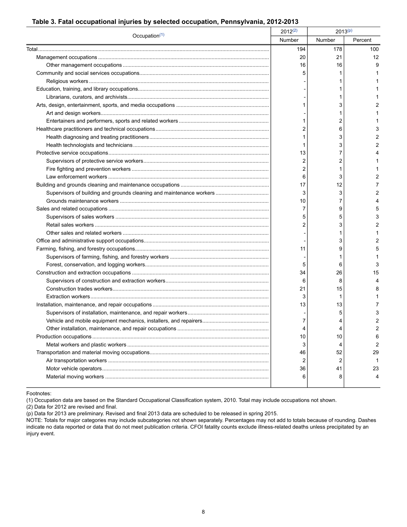#### <span id="page-7-0"></span> **Table 3. Fatal occupational injuries by selected occupation, Pennsylvania, 2012-2013**

| Occupation $(1)$ | $2012^{(2)}$ | $2013^{(p)}$ |         |
|------------------|--------------|--------------|---------|
|                  | Number       | Number       | Percent |
|                  | 194          | 178          | 100     |
|                  | 20           | 21           | 12      |
|                  | 16           | 16           | 9       |
|                  |              |              |         |
|                  |              |              |         |
|                  |              |              |         |
|                  |              |              |         |
|                  |              | 3            |         |
|                  |              |              |         |
|                  |              | 2            |         |
|                  | 2            | 6            |         |
|                  |              | 3            | 2       |
|                  |              | 3            | 2       |
|                  | 13           | 7            |         |
|                  | 2            | 2            |         |
|                  | 2            | 1            |         |
|                  | 6            | 3            | 2       |
|                  | 17           | 12           | 7       |
|                  | 3            | 3            | 2       |
|                  | 10           | 7            |         |
|                  | 7            | 9            | 5       |
|                  | 5            | 5            |         |
|                  | 2            | 3            | 2       |
|                  |              | 1            |         |
|                  |              | 3            | 2       |
|                  | 11           | 9            | 5       |
|                  |              | 1            |         |
|                  | 5            | 6            | 3       |
|                  | 34           | 26           | 15      |
|                  | 6            | 8            | Δ       |
|                  | 21           | 15           | 8       |
|                  | 3            | 1            |         |
|                  | 13           | 13           |         |
|                  |              | 5            | З       |
|                  | 7            | 4            | 2       |
|                  |              | 4            | 2       |
|                  | 10           | 10           | 6       |
|                  | 3            | 4            | 2       |
|                  | 46           | 52           | 29      |
|                  | 2            | 2            | 1       |
|                  | 36           | 41           | 23      |
|                  | 6            | 8            | 4       |
|                  |              |              |         |

<span id="page-7-1"></span>Footnotes:

(1) Occupation data are based on the Standard Occupational Classification system, 2010. Total may include occupations not shown.

(2) Data for 2012 are revised and final.

(p) Data for 2013 are preliminary. Revised and final 2013 data are scheduled to be released in spring 2015.